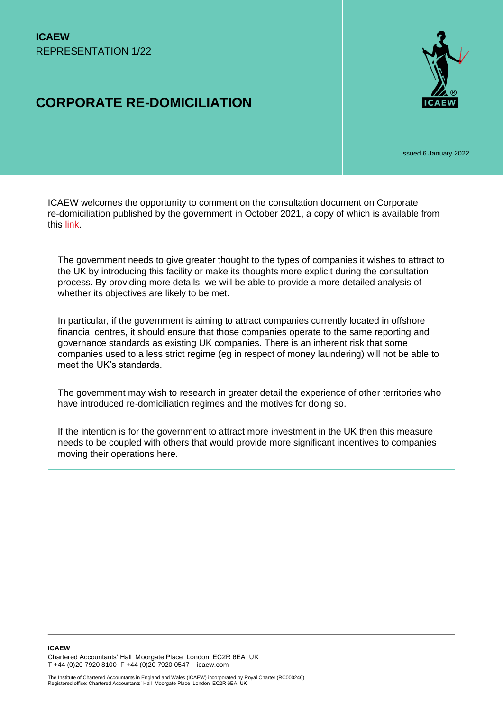# **CORPORATE RE-DOMICILIATION**



Issued 6 January 2022

ICAEW welcomes the opportunity to comment on the consultation document on Corporate re-domiciliation published by the government in October 2021, a copy of which is available from this [link.](https://assets.publishing.service.gov.uk/government/uploads/system/uploads/attachment_data/file/1028386/Corporate_Re-domiciliation_-_Consultation_on_the_Government_s_proposals_25102021.pdf)

The government needs to give greater thought to the types of companies it wishes to attract to the UK by introducing this facility or make its thoughts more explicit during the consultation process. By providing more details, we will be able to provide a more detailed analysis of whether its objectives are likely to be met.

In particular, if the government is aiming to attract companies currently located in offshore financial centres, it should ensure that those companies operate to the same reporting and governance standards as existing UK companies. There is an inherent risk that some companies used to a less strict regime (eg in respect of money laundering) will not be able to meet the UK's standards.

The government may wish to research in greater detail the experience of other territories who have introduced re-domiciliation regimes and the motives for doing so.

If the intention is for the government to attract more investment in the UK then this measure needs to be coupled with others that would provide more significant incentives to companies moving their operations here.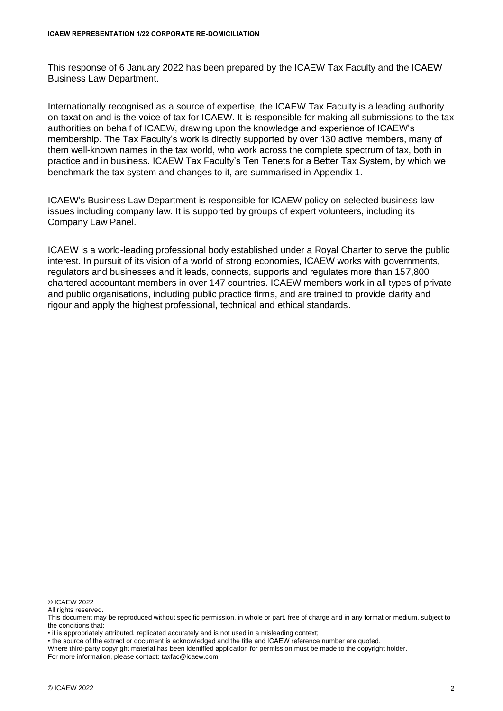This response of 6 January 2022 has been prepared by the ICAEW Tax Faculty and the ICAEW Business Law Department.

Internationally recognised as a source of expertise, the ICAEW Tax Faculty is a leading authority on taxation and is the voice of tax for ICAEW. It is responsible for making all submissions to the tax authorities on behalf of ICAEW, drawing upon the knowledge and experience of ICAEW's membership. The Tax Faculty's work is directly supported by over 130 active members, many of them well-known names in the tax world, who work across the complete spectrum of tax, both in practice and in business. ICAEW Tax Faculty's Ten Tenets for a Better Tax System, by which we benchmark the tax system and changes to it, are summarised in Appendix 1.

ICAEW's Business Law Department is responsible for ICAEW policy on selected business law issues including company law. It is supported by groups of expert volunteers, including its Company Law Panel.

ICAEW is a world-leading professional body established under a Royal Charter to serve the public interest. In pursuit of its vision of a world of strong economies, ICAEW works with governments, regulators and businesses and it leads, connects, supports and regulates more than 157,800 chartered accountant members in over 147 countries. ICAEW members work in all types of private and public organisations, including public practice firms, and are trained to provide clarity and rigour and apply the highest professional, technical and ethical standards.

© ICAEW 2022

All rights reserved.

• it is appropriately attributed, replicated accurately and is not used in a misleading context;

• the source of the extract or document is acknowledged and the title and ICAEW reference number are quoted.

Where third-party copyright material has been identified application for permission must be made to the copyright holder. For more information, please contact: taxfac@icaew.com

This document may be reproduced without specific permission, in whole or part, free of charge and in any format or medium, subject to the conditions that: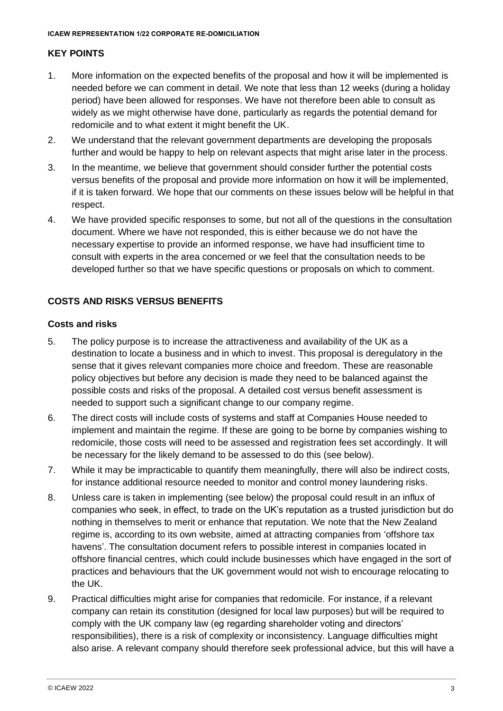## **KEY POINTS**

- 1. More information on the expected benefits of the proposal and how it will be implemented is needed before we can comment in detail. We note that less than 12 weeks (during a holiday period) have been allowed for responses. We have not therefore been able to consult as widely as we might otherwise have done, particularly as regards the potential demand for redomicile and to what extent it might benefit the UK.
- 2. We understand that the relevant government departments are developing the proposals further and would be happy to help on relevant aspects that might arise later in the process.
- 3. In the meantime, we believe that government should consider further the potential costs versus benefits of the proposal and provide more information on how it will be implemented, if it is taken forward. We hope that our comments on these issues below will be helpful in that respect.
- 4. We have provided specific responses to some, but not all of the questions in the consultation document. Where we have not responded, this is either because we do not have the necessary expertise to provide an informed response, we have had insufficient time to consult with experts in the area concerned or we feel that the consultation needs to be developed further so that we have specific questions or proposals on which to comment.

## **COSTS AND RISKS VERSUS BENEFITS**

## **Costs and risks**

- 5. The policy purpose is to increase the attractiveness and availability of the UK as a destination to locate a business and in which to invest. This proposal is deregulatory in the sense that it gives relevant companies more choice and freedom. These are reasonable policy objectives but before any decision is made they need to be balanced against the possible costs and risks of the proposal. A detailed cost versus benefit assessment is needed to support such a significant change to our company regime.
- 6. The direct costs will include costs of systems and staff at Companies House needed to implement and maintain the regime. If these are going to be borne by companies wishing to redomicile, those costs will need to be assessed and registration fees set accordingly. It will be necessary for the likely demand to be assessed to do this (see below).
- 7. While it may be impracticable to quantify them meaningfully, there will also be indirect costs, for instance additional resource needed to monitor and control money laundering risks.
- 8. Unless care is taken in implementing (see below) the proposal could result in an influx of companies who seek, in effect, to trade on the UK's reputation as a trusted jurisdiction but do nothing in themselves to merit or enhance that reputation. We note that the New Zealand regime is, according to its own website, aimed at attracting companies from 'offshore tax havens'. The consultation document refers to possible interest in companies located in offshore financial centres, which could include businesses which have engaged in the sort of practices and behaviours that the UK government would not wish to encourage relocating to the UK.
- 9. Practical difficulties might arise for companies that redomicile. For instance, if a relevant company can retain its constitution (designed for local law purposes) but will be required to comply with the UK company law (eg regarding shareholder voting and directors' responsibilities), there is a risk of complexity or inconsistency. Language difficulties might also arise. A relevant company should therefore seek professional advice, but this will have a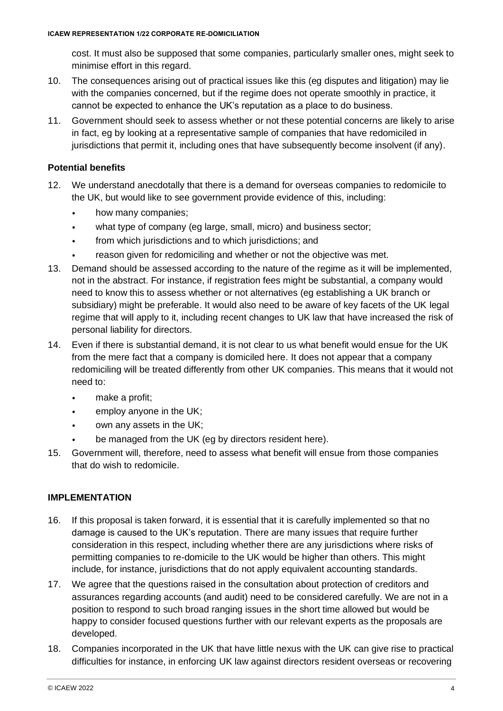cost. It must also be supposed that some companies, particularly smaller ones, might seek to minimise effort in this regard.

- 10. The consequences arising out of practical issues like this (eg disputes and litigation) may lie with the companies concerned, but if the regime does not operate smoothly in practice, it cannot be expected to enhance the UK's reputation as a place to do business.
- 11. Government should seek to assess whether or not these potential concerns are likely to arise in fact, eg by looking at a representative sample of companies that have redomiciled in jurisdictions that permit it, including ones that have subsequently become insolvent (if any).

## **Potential benefits**

- 12. We understand anecdotally that there is a demand for overseas companies to redomicile to the UK, but would like to see government provide evidence of this, including:
	- how many companies;
	- what type of company (eg large, small, micro) and business sector;
	- from which jurisdictions and to which jurisdictions; and
	- reason given for redomiciling and whether or not the objective was met.
- 13. Demand should be assessed according to the nature of the regime as it will be implemented, not in the abstract. For instance, if registration fees might be substantial, a company would need to know this to assess whether or not alternatives (eg establishing a UK branch or subsidiary) might be preferable. It would also need to be aware of key facets of the UK legal regime that will apply to it, including recent changes to UK law that have increased the risk of personal liability for directors.
- 14. Even if there is substantial demand, it is not clear to us what benefit would ensue for the UK from the mere fact that a company is domiciled here. It does not appear that a company redomiciling will be treated differently from other UK companies. This means that it would not need to:
	- make a profit;
	- employ anyone in the UK;
	- own any assets in the UK;
	- be managed from the UK (eg by directors resident here).
- 15. Government will, therefore, need to assess what benefit will ensue from those companies that do wish to redomicile.

## **IMPI FMFNTATION**

- 16. If this proposal is taken forward, it is essential that it is carefully implemented so that no damage is caused to the UK's reputation. There are many issues that require further consideration in this respect, including whether there are any jurisdictions where risks of permitting companies to re-domicile to the UK would be higher than others. This might include, for instance, jurisdictions that do not apply equivalent accounting standards.
- 17. We agree that the questions raised in the consultation about protection of creditors and assurances regarding accounts (and audit) need to be considered carefully. We are not in a position to respond to such broad ranging issues in the short time allowed but would be happy to consider focused questions further with our relevant experts as the proposals are developed.
- 18. Companies incorporated in the UK that have little nexus with the UK can give rise to practical difficulties for instance, in enforcing UK law against directors resident overseas or recovering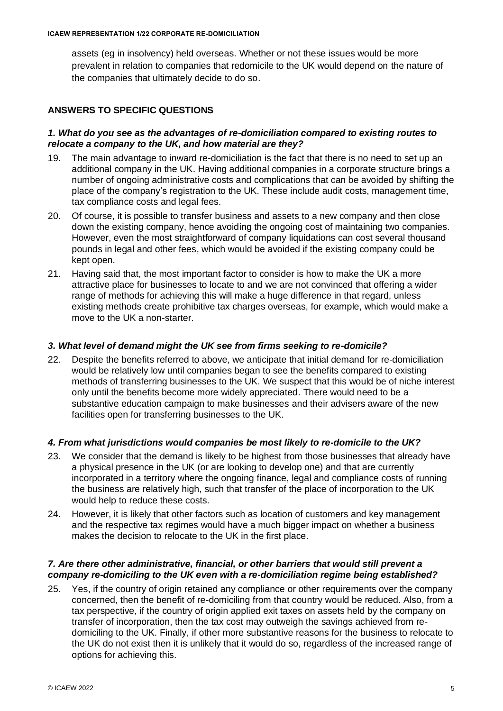assets (eg in insolvency) held overseas. Whether or not these issues would be more prevalent in relation to companies that redomicile to the UK would depend on the nature of the companies that ultimately decide to do so.

## **ANSWERS TO SPECIFIC QUESTIONS**

#### *1. What do you see as the advantages of re-domiciliation compared to existing routes to relocate a company to the UK, and how material are they?*

- 19. The main advantage to inward re-domiciliation is the fact that there is no need to set up an additional company in the UK. Having additional companies in a corporate structure brings a number of ongoing administrative costs and complications that can be avoided by shifting the place of the company's registration to the UK. These include audit costs, management time, tax compliance costs and legal fees.
- 20. Of course, it is possible to transfer business and assets to a new company and then close down the existing company, hence avoiding the ongoing cost of maintaining two companies. However, even the most straightforward of company liquidations can cost several thousand pounds in legal and other fees, which would be avoided if the existing company could be kept open.
- 21. Having said that, the most important factor to consider is how to make the UK a more attractive place for businesses to locate to and we are not convinced that offering a wider range of methods for achieving this will make a huge difference in that regard, unless existing methods create prohibitive tax charges overseas, for example, which would make a move to the UK a non-starter.

#### *3. What level of demand might the UK see from firms seeking to re-domicile?*

22. Despite the benefits referred to above, we anticipate that initial demand for re-domiciliation would be relatively low until companies began to see the benefits compared to existing methods of transferring businesses to the UK. We suspect that this would be of niche interest only until the benefits become more widely appreciated. There would need to be a substantive education campaign to make businesses and their advisers aware of the new facilities open for transferring businesses to the UK.

#### *4. From what jurisdictions would companies be most likely to re-domicile to the UK?*

- 23. We consider that the demand is likely to be highest from those businesses that already have a physical presence in the UK (or are looking to develop one) and that are currently incorporated in a territory where the ongoing finance, legal and compliance costs of running the business are relatively high, such that transfer of the place of incorporation to the UK would help to reduce these costs.
- 24. However, it is likely that other factors such as location of customers and key management and the respective tax regimes would have a much bigger impact on whether a business makes the decision to relocate to the UK in the first place.

#### *7. Are there other administrative, financial, or other barriers that would still prevent a company re-domiciling to the UK even with a re-domiciliation regime being established?*

25. Yes, if the country of origin retained any compliance or other requirements over the company concerned, then the benefit of re-domiciling from that country would be reduced. Also, from a tax perspective, if the country of origin applied exit taxes on assets held by the company on transfer of incorporation, then the tax cost may outweigh the savings achieved from redomiciling to the UK. Finally, if other more substantive reasons for the business to relocate to the UK do not exist then it is unlikely that it would do so, regardless of the increased range of options for achieving this.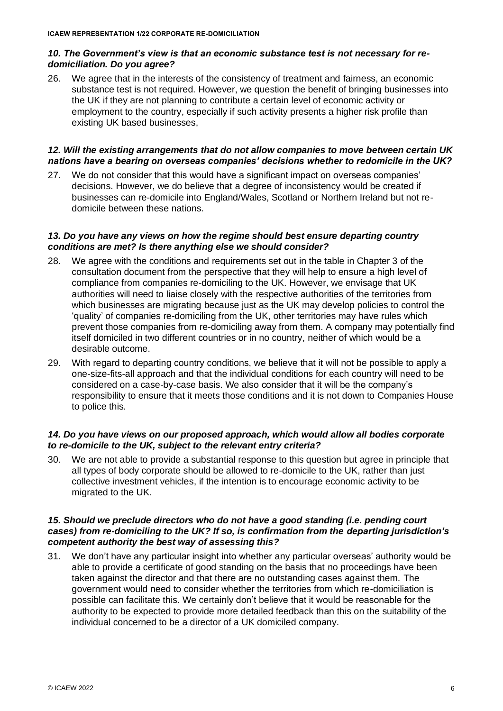## *10. The Government's view is that an economic substance test is not necessary for redomiciliation. Do you agree?*

26. We agree that in the interests of the consistency of treatment and fairness, an economic substance test is not required. However, we question the benefit of bringing businesses into the UK if they are not planning to contribute a certain level of economic activity or employment to the country, especially if such activity presents a higher risk profile than existing UK based businesses,

## *12. Will the existing arrangements that do not allow companies to move between certain UK nations have a bearing on overseas companies' decisions whether to redomicile in the UK?*

27. We do not consider that this would have a significant impact on overseas companies' decisions. However, we do believe that a degree of inconsistency would be created if businesses can re-domicile into England/Wales, Scotland or Northern Ireland but not redomicile between these nations.

#### *13. Do you have any views on how the regime should best ensure departing country conditions are met? Is there anything else we should consider?*

- 28. We agree with the conditions and requirements set out in the table in Chapter 3 of the consultation document from the perspective that they will help to ensure a high level of compliance from companies re-domiciling to the UK. However, we envisage that UK authorities will need to liaise closely with the respective authorities of the territories from which businesses are migrating because just as the UK may develop policies to control the 'quality' of companies re-domiciling from the UK, other territories may have rules which prevent those companies from re-domiciling away from them. A company may potentially find itself domiciled in two different countries or in no country, neither of which would be a desirable outcome.
- 29. With regard to departing country conditions, we believe that it will not be possible to apply a one-size-fits-all approach and that the individual conditions for each country will need to be considered on a case-by-case basis. We also consider that it will be the company's responsibility to ensure that it meets those conditions and it is not down to Companies House to police this.

## *14. Do you have views on our proposed approach, which would allow all bodies corporate to re-domicile to the UK, subject to the relevant entry criteria?*

30. We are not able to provide a substantial response to this question but agree in principle that all types of body corporate should be allowed to re-domicile to the UK, rather than just collective investment vehicles, if the intention is to encourage economic activity to be migrated to the UK.

## *15. Should we preclude directors who do not have a good standing (i.e. pending court cases) from re-domiciling to the UK? If so, is confirmation from the departing jurisdiction's competent authority the best way of assessing this?*

31. We don't have any particular insight into whether any particular overseas' authority would be able to provide a certificate of good standing on the basis that no proceedings have been taken against the director and that there are no outstanding cases against them. The government would need to consider whether the territories from which re-domiciliation is possible can facilitate this. We certainly don't believe that it would be reasonable for the authority to be expected to provide more detailed feedback than this on the suitability of the individual concerned to be a director of a UK domiciled company.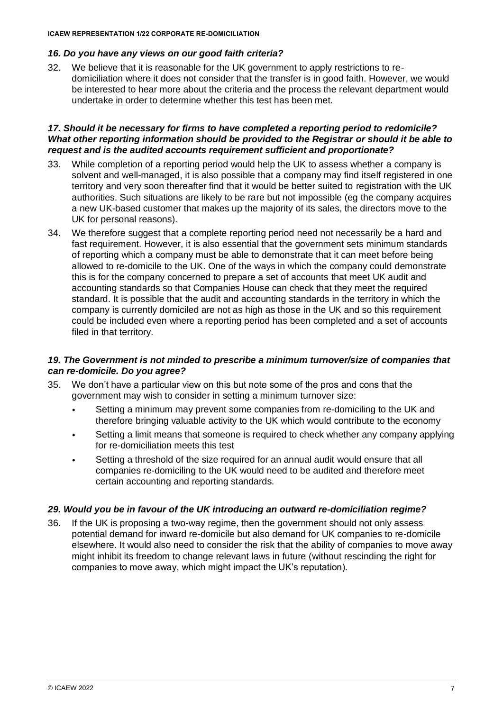**ICAEW REPRESENTATION 1/22 CORPORATE RE-DOMICILIATION**

## *16. Do you have any views on our good faith criteria?*

32. We believe that it is reasonable for the UK government to apply restrictions to redomiciliation where it does not consider that the transfer is in good faith. However, we would be interested to hear more about the criteria and the process the relevant department would undertake in order to determine whether this test has been met.

#### *17. Should it be necessary for firms to have completed a reporting period to redomicile? What other reporting information should be provided to the Registrar or should it be able to request and is the audited accounts requirement sufficient and proportionate?*

- 33. While completion of a reporting period would help the UK to assess whether a company is solvent and well-managed, it is also possible that a company may find itself registered in one territory and very soon thereafter find that it would be better suited to registration with the UK authorities. Such situations are likely to be rare but not impossible (eg the company acquires a new UK-based customer that makes up the majority of its sales, the directors move to the UK for personal reasons).
- 34. We therefore suggest that a complete reporting period need not necessarily be a hard and fast requirement. However, it is also essential that the government sets minimum standards of reporting which a company must be able to demonstrate that it can meet before being allowed to re-domicile to the UK. One of the ways in which the company could demonstrate this is for the company concerned to prepare a set of accounts that meet UK audit and accounting standards so that Companies House can check that they meet the required standard. It is possible that the audit and accounting standards in the territory in which the company is currently domiciled are not as high as those in the UK and so this requirement could be included even where a reporting period has been completed and a set of accounts filed in that territory.

#### *19. The Government is not minded to prescribe a minimum turnover/size of companies that can re-domicile. Do you agree?*

- 35. We don't have a particular view on this but note some of the pros and cons that the government may wish to consider in setting a minimum turnover size:
	- Setting a minimum may prevent some companies from re-domiciling to the UK and therefore bringing valuable activity to the UK which would contribute to the economy
	- Setting a limit means that someone is required to check whether any company applying for re-domiciliation meets this test
	- Setting a threshold of the size required for an annual audit would ensure that all companies re-domiciling to the UK would need to be audited and therefore meet certain accounting and reporting standards.

## *29. Would you be in favour of the UK introducing an outward re-domiciliation regime?*

36. If the UK is proposing a two-way regime, then the government should not only assess potential demand for inward re-domicile but also demand for UK companies to re-domicile elsewhere. It would also need to consider the risk that the ability of companies to move away might inhibit its freedom to change relevant laws in future (without rescinding the right for companies to move away, which might impact the UK's reputation).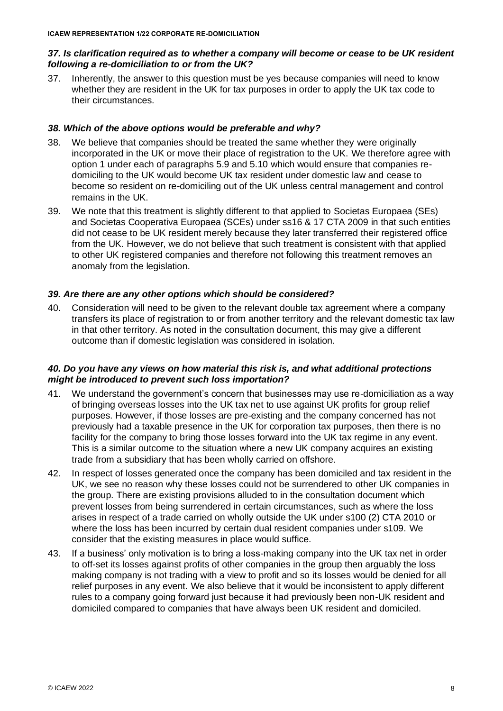#### *37. Is clarification required as to whether a company will become or cease to be UK resident following a re-domiciliation to or from the UK?*

37. Inherently, the answer to this question must be yes because companies will need to know whether they are resident in the UK for tax purposes in order to apply the UK tax code to their circumstances.

#### *38. Which of the above options would be preferable and why?*

- 38. We believe that companies should be treated the same whether they were originally incorporated in the UK or move their place of registration to the UK. We therefore agree with option 1 under each of paragraphs 5.9 and 5.10 which would ensure that companies redomiciling to the UK would become UK tax resident under domestic law and cease to become so resident on re-domiciling out of the UK unless central management and control remains in the UK.
- 39. We note that this treatment is slightly different to that applied to Societas Europaea (SEs) and Societas Cooperativa Europaea (SCEs) under ss16 & 17 CTA 2009 in that such entities did not cease to be UK resident merely because they later transferred their registered office from the UK. However, we do not believe that such treatment is consistent with that applied to other UK registered companies and therefore not following this treatment removes an anomaly from the legislation.

## *39. Are there are any other options which should be considered?*

40. Consideration will need to be given to the relevant double tax agreement where a company transfers its place of registration to or from another territory and the relevant domestic tax law in that other territory. As noted in the consultation document, this may give a different outcome than if domestic legislation was considered in isolation.

## *40. Do you have any views on how material this risk is, and what additional protections might be introduced to prevent such loss importation?*

- 41. We understand the government's concern that businesses may use re-domiciliation as a way of bringing overseas losses into the UK tax net to use against UK profits for group relief purposes. However, if those losses are pre-existing and the company concerned has not previously had a taxable presence in the UK for corporation tax purposes, then there is no facility for the company to bring those losses forward into the UK tax regime in any event. This is a similar outcome to the situation where a new UK company acquires an existing trade from a subsidiary that has been wholly carried on offshore.
- 42. In respect of losses generated once the company has been domiciled and tax resident in the UK, we see no reason why these losses could not be surrendered to other UK companies in the group. There are existing provisions alluded to in the consultation document which prevent losses from being surrendered in certain circumstances, such as where the loss arises in respect of a trade carried on wholly outside the UK under s100 (2) CTA 2010 or where the loss has been incurred by certain dual resident companies under s109. We consider that the existing measures in place would suffice.
- 43. If a business' only motivation is to bring a loss-making company into the UK tax net in order to off-set its losses against profits of other companies in the group then arguably the loss making company is not trading with a view to profit and so its losses would be denied for all relief purposes in any event. We also believe that it would be inconsistent to apply different rules to a company going forward just because it had previously been non-UK resident and domiciled compared to companies that have always been UK resident and domiciled.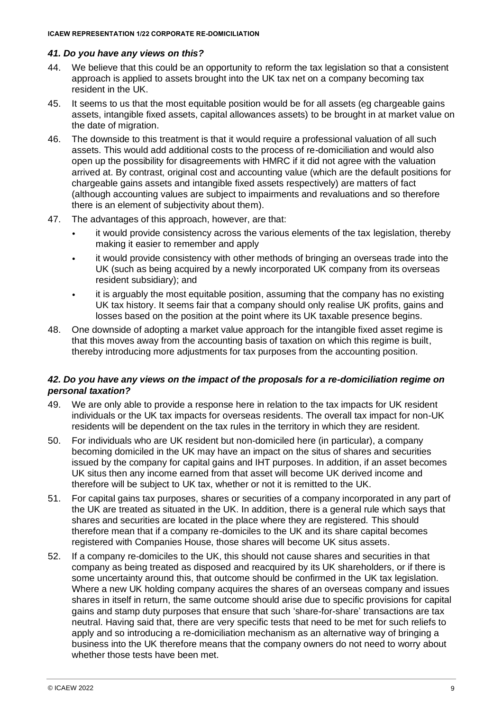## *41. Do you have any views on this?*

- 44. We believe that this could be an opportunity to reform the tax legislation so that a consistent approach is applied to assets brought into the UK tax net on a company becoming tax resident in the UK.
- 45. It seems to us that the most equitable position would be for all assets (eg chargeable gains assets, intangible fixed assets, capital allowances assets) to be brought in at market value on the date of migration.
- 46. The downside to this treatment is that it would require a professional valuation of all such assets. This would add additional costs to the process of re-domiciliation and would also open up the possibility for disagreements with HMRC if it did not agree with the valuation arrived at. By contrast, original cost and accounting value (which are the default positions for chargeable gains assets and intangible fixed assets respectively) are matters of fact (although accounting values are subject to impairments and revaluations and so therefore there is an element of subjectivity about them).
- 47. The advantages of this approach, however, are that:
	- it would provide consistency across the various elements of the tax legislation, thereby making it easier to remember and apply
	- it would provide consistency with other methods of bringing an overseas trade into the UK (such as being acquired by a newly incorporated UK company from its overseas resident subsidiary); and
	- it is arguably the most equitable position, assuming that the company has no existing UK tax history. It seems fair that a company should only realise UK profits, gains and losses based on the position at the point where its UK taxable presence begins.
- 48. One downside of adopting a market value approach for the intangible fixed asset regime is that this moves away from the accounting basis of taxation on which this regime is built, thereby introducing more adjustments for tax purposes from the accounting position.

## *42. Do you have any views on the impact of the proposals for a re-domiciliation regime on personal taxation?*

- 49. We are only able to provide a response here in relation to the tax impacts for UK resident individuals or the UK tax impacts for overseas residents. The overall tax impact for non-UK residents will be dependent on the tax rules in the territory in which they are resident.
- 50. For individuals who are UK resident but non-domiciled here (in particular), a company becoming domiciled in the UK may have an impact on the situs of shares and securities issued by the company for capital gains and IHT purposes. In addition, if an asset becomes UK situs then any income earned from that asset will become UK derived income and therefore will be subject to UK tax, whether or not it is remitted to the UK.
- 51. For capital gains tax purposes, shares or securities of a company incorporated in any part of the UK are treated as situated in the UK. In addition, there is a general rule which says that shares and securities are located in the place where they are registered. This should therefore mean that if a company re-domiciles to the UK and its share capital becomes registered with Companies House, those shares will become UK situs assets.
- 52. If a company re-domiciles to the UK, this should not cause shares and securities in that company as being treated as disposed and reacquired by its UK shareholders, or if there is some uncertainty around this, that outcome should be confirmed in the UK tax legislation. Where a new UK holding company acquires the shares of an overseas company and issues shares in itself in return, the same outcome should arise due to specific provisions for capital gains and stamp duty purposes that ensure that such 'share-for-share' transactions are tax neutral. Having said that, there are very specific tests that need to be met for such reliefs to apply and so introducing a re-domiciliation mechanism as an alternative way of bringing a business into the UK therefore means that the company owners do not need to worry about whether those tests have been met.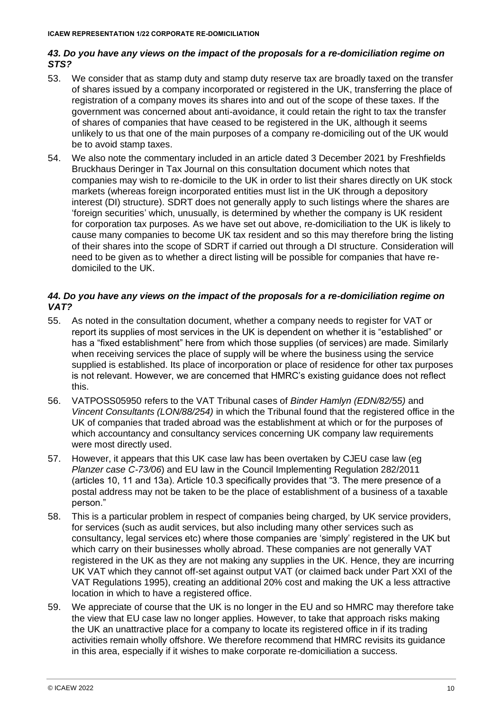## *43. Do you have any views on the impact of the proposals for a re-domiciliation regime on STS?*

- 53. We consider that as stamp duty and stamp duty reserve tax are broadly taxed on the transfer of shares issued by a company incorporated or registered in the UK, transferring the place of registration of a company moves its shares into and out of the scope of these taxes. If the government was concerned about anti-avoidance, it could retain the right to tax the transfer of shares of companies that have ceased to be registered in the UK, although it seems unlikely to us that one of the main purposes of a company re-domiciling out of the UK would be to avoid stamp taxes.
- 54. We also note the commentary included in an article dated 3 December 2021 by Freshfields Bruckhaus Deringer in Tax Journal on this consultation document which notes that companies may wish to re-domicile to the UK in order to list their shares directly on UK stock markets (whereas foreign incorporated entities must list in the UK through a depository interest (DI) structure). SDRT does not generally apply to such listings where the shares are 'foreign securities' which, unusually, is determined by whether the company is UK resident for corporation tax purposes. As we have set out above, re-domiciliation to the UK is likely to cause many companies to become UK tax resident and so this may therefore bring the listing of their shares into the scope of SDRT if carried out through a DI structure. Consideration will need to be given as to whether a direct listing will be possible for companies that have redomiciled to the UK.

#### *44. Do you have any views on the impact of the proposals for a re-domiciliation regime on VAT?*

- 55. As noted in the consultation document, whether a company needs to register for VAT or report its supplies of most services in the UK is dependent on whether it is "established" or has a "fixed establishment" here from which those supplies (of services) are made. Similarly when receiving services the place of supply will be where the business using the service supplied is established. Its place of incorporation or place of residence for other tax purposes is not relevant. However, we are concerned that HMRC's existing guidance does not reflect this.
- 56. [VATPOSS05950](https://www.gov.uk/hmrc-internal-manuals/vat-place-of-supply-services/vatposs05950) refers to the VAT Tribunal cases of *Binder Hamlyn (EDN/82/55)* and *Vincent Consultants (LON/88/254)* in which the Tribunal found that the registered office in the UK of companies that traded abroad was the establishment at which or for the purposes of which accountancy and consultancy services concerning UK company law requirements were most directly used.
- 57. However, it appears that this UK case law has been overtaken by CJEU case law (eg *Planzer case C-73/06*) and EU law in the Council Implementing Regulation 282/2011 (articles 10, 11 and 13a). Article 10.3 specifically provides that "3. The mere presence of a postal address may not be taken to be the place of establishment of a business of a taxable person."
- 58. This is a particular problem in respect of companies being charged, by UK service providers, for services (such as audit services, but also including many other services such as consultancy, legal services etc) where those companies are 'simply' registered in the UK but which carry on their businesses wholly abroad. These companies are not generally VAT registered in the UK as they are not making any supplies in the UK. Hence, they are incurring UK VAT which they cannot off-set against output VAT (or claimed back under Part XXI of the VAT Regulations 1995), creating an additional 20% cost and making the UK a less attractive location in which to have a registered office.
- 59. We appreciate of course that the UK is no longer in the EU and so HMRC may therefore take the view that EU case law no longer applies. However, to take that approach risks making the UK an unattractive place for a company to locate its registered office in if its trading activities remain wholly offshore. We therefore recommend that HMRC revisits its guidance in this area, especially if it wishes to make corporate re-domiciliation a success.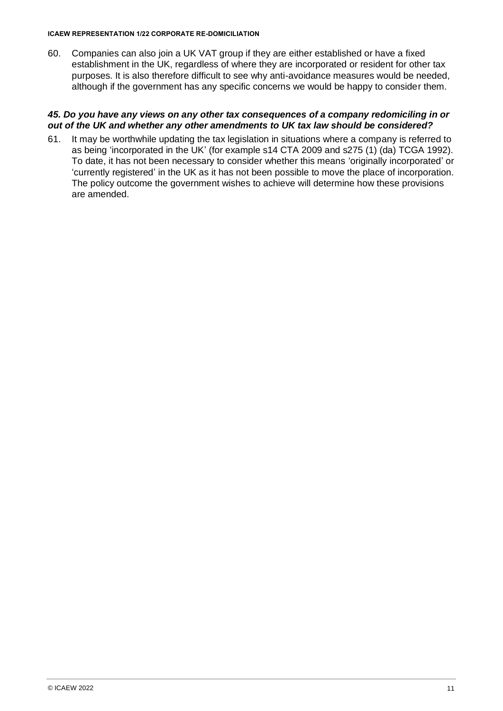#### **ICAEW REPRESENTATION 1/22 CORPORATE RE-DOMICILIATION**

60. Companies can also join a UK VAT group if they are either established or have a fixed establishment in the UK, regardless of where they are incorporated or resident for other tax purposes. It is also therefore difficult to see why anti-avoidance measures would be needed, although if the government has any specific concerns we would be happy to consider them.

#### *45. Do you have any views on any other tax consequences of a company redomiciling in or out of the UK and whether any other amendments to UK tax law should be considered?*

61. It may be worthwhile updating the tax legislation in situations where a company is referred to as being 'incorporated in the UK' (for example s14 CTA 2009 and s275 (1) (da) TCGA 1992). To date, it has not been necessary to consider whether this means 'originally incorporated' or 'currently registered' in the UK as it has not been possible to move the place of incorporation. The policy outcome the government wishes to achieve will determine how these provisions are amended.